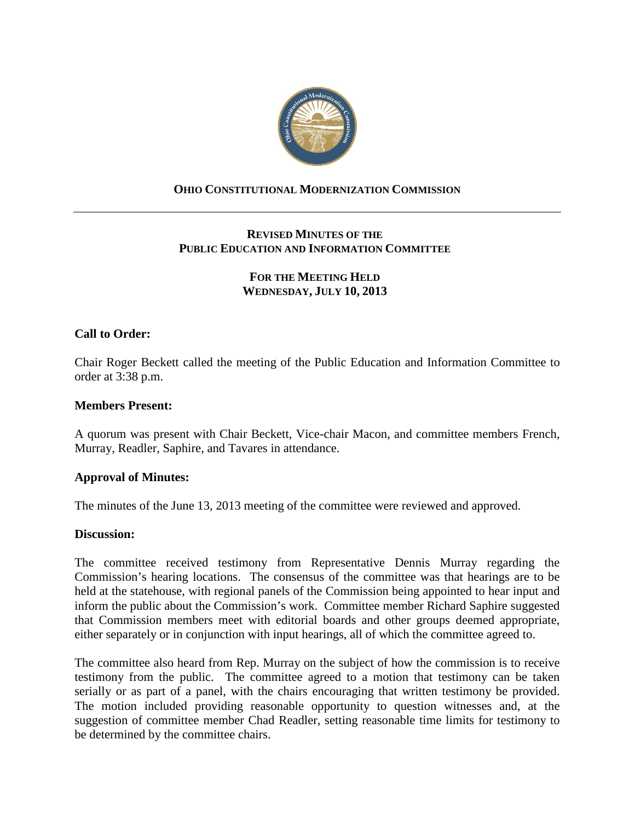

## **OHIO CONSTITUTIONAL MODERNIZATION COMMISSION**

# **REVISED MINUTES OF THE PUBLIC EDUCATION AND INFORMATION COMMITTEE**

## **FOR THE MEETING HELD WEDNESDAY, JULY 10, 2013**

### **Call to Order:**

Chair Roger Beckett called the meeting of the Public Education and Information Committee to order at 3:38 p.m.

#### **Members Present:**

A quorum was present with Chair Beckett, Vice-chair Macon, and committee members French, Murray, Readler, Saphire, and Tavares in attendance.

### **Approval of Minutes:**

The minutes of the June 13, 2013 meeting of the committee were reviewed and approved.

#### **Discussion:**

The committee received testimony from Representative Dennis Murray regarding the Commission's hearing locations. The consensus of the committee was that hearings are to be held at the statehouse, with regional panels of the Commission being appointed to hear input and inform the public about the Commission's work. Committee member Richard Saphire suggested that Commission members meet with editorial boards and other groups deemed appropriate, either separately or in conjunction with input hearings, all of which the committee agreed to.

The committee also heard from Rep. Murray on the subject of how the commission is to receive testimony from the public. The committee agreed to a motion that testimony can be taken serially or as part of a panel, with the chairs encouraging that written testimony be provided. The motion included providing reasonable opportunity to question witnesses and, at the suggestion of committee member Chad Readler, setting reasonable time limits for testimony to be determined by the committee chairs.